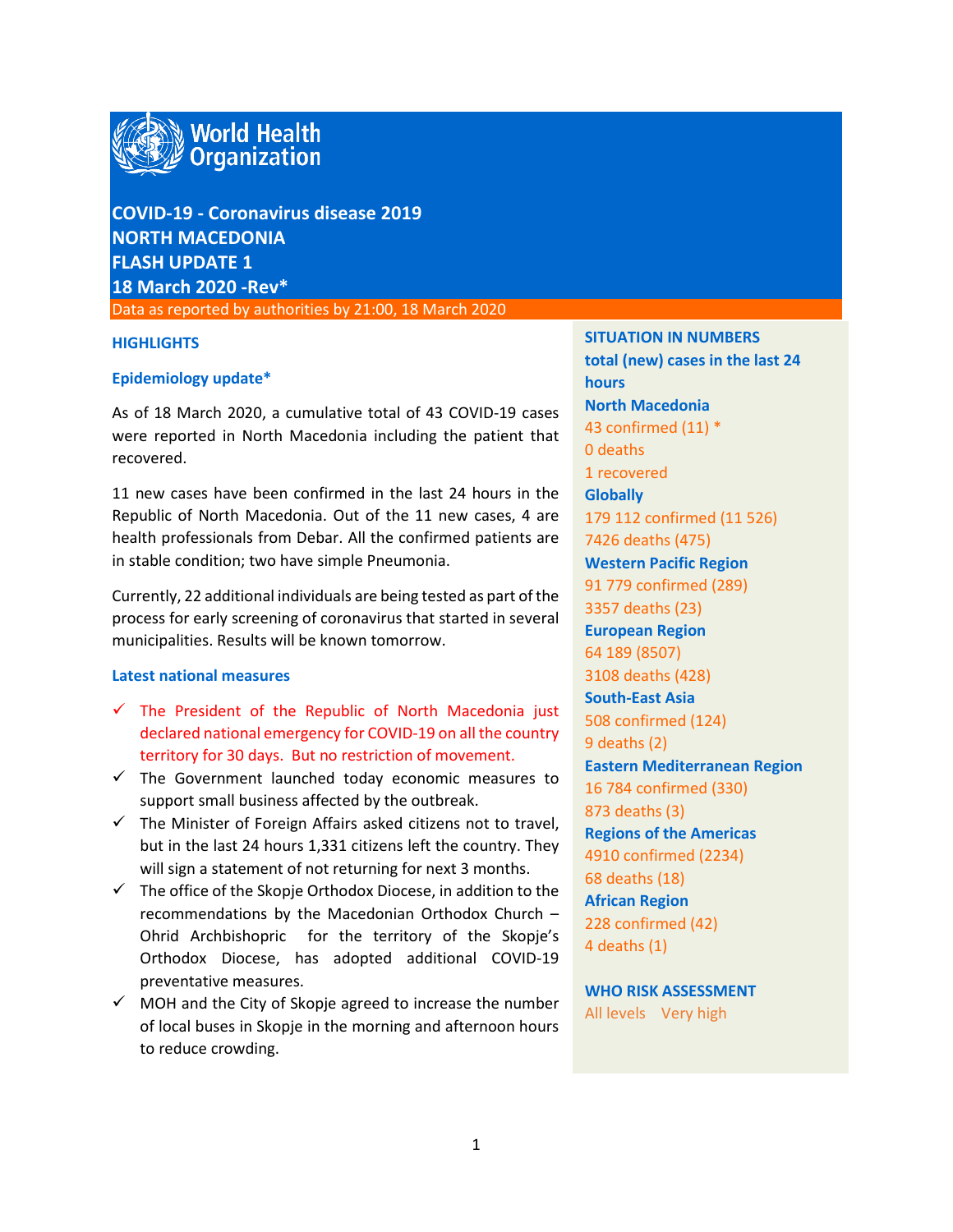

# **COVID-19 - Coronavirus disease 2019 NORTH MACEDONIA FLASH UPDATE 1 18 March 2020 -Rev\***

Data as reported by authorities by 21:00, 18 March 2020

#### **HIGHLIGHTS**

#### **Epidemiology update\***

As of 18 March 2020, a cumulative total of 43 COVID-19 cases were reported in North Macedonia including the patient that recovered.

11 new cases have been confirmed in the last 24 hours in the Republic of North Macedonia. Out of the 11 new cases, 4 are health professionals from Debar. All the confirmed patients are in stable condition; two have simple Pneumonia.

Currently, 22 additional individuals are being tested as part of the process for early screening of coronavirus that started in several municipalities. Results will be known tomorrow.

## **Latest national measures**

- $\checkmark$  The President of the Republic of North Macedonia just declared national emergency for COVID-19 on all the country territory for 30 days. But no restriction of movement.
- $\checkmark$  The Government launched today economic measures to support small business affected by the outbreak.
- $\checkmark$  The Minister of Foreign Affairs asked citizens not to travel, but in the last 24 hours 1,331 citizens left the country. They will sign a statement of not returning for next 3 months.
- $\checkmark$  The office of the Skopje Orthodox Diocese, in addition to the recommendations by the Macedonian Orthodox Church – Ohrid Archbishopric for the territory of the Skopje's Orthodox Diocese, has adopted additional COVID-19 preventative measures.
- $\checkmark$  MOH and the City of Skopje agreed to increase the number of local buses in Skopje in the morning and afternoon hours to reduce crowding.

**SITUATION IN NUMBERS total (new) cases in the last 24 hours North Macedonia** 43 confirmed (11) \* 0 deaths 1 recovered **Globally**  179 112 confirmed (11 526) 7426 deaths (475) **Western Pacific Region** 91 779 confirmed (289) 3357 deaths (23) **European Region** 64 189 (8507) 3108 deaths (428) **South-East Asia** 508 confirmed (124) 9 deaths (2) **Eastern Mediterranean Region** 16 784 confirmed (330) 873 deaths (3) **Regions of the Americas** 4910 confirmed (2234) 68 deaths (18) **African Region** 228 confirmed (42) 4 deaths (1)

**WHO RISK ASSESSMENT**  All levels Very high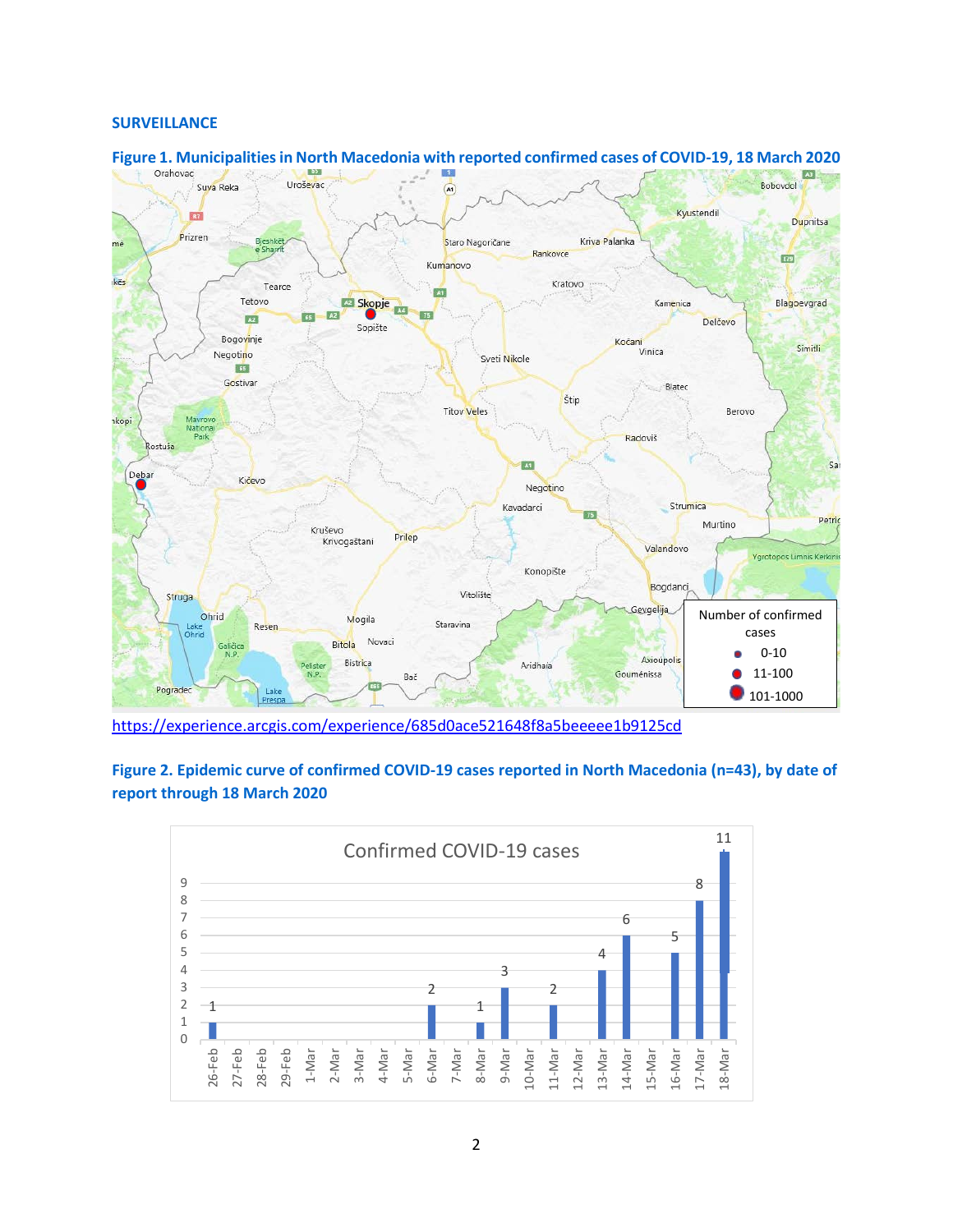### **SURVEILLANCE**



# **Figure 1. Municipalities in North Macedonia with reported confirmed cases of COVID-19, 18 March 2020**<br> **Examples**

<https://experience.arcgis.com/experience/685d0ace521648f8a5beeeee1b9125cd>

# **Figure 2. Epidemic curve of confirmed COVID-19 cases reported in North Macedonia (n=43), by date of report through 18 March 2020**

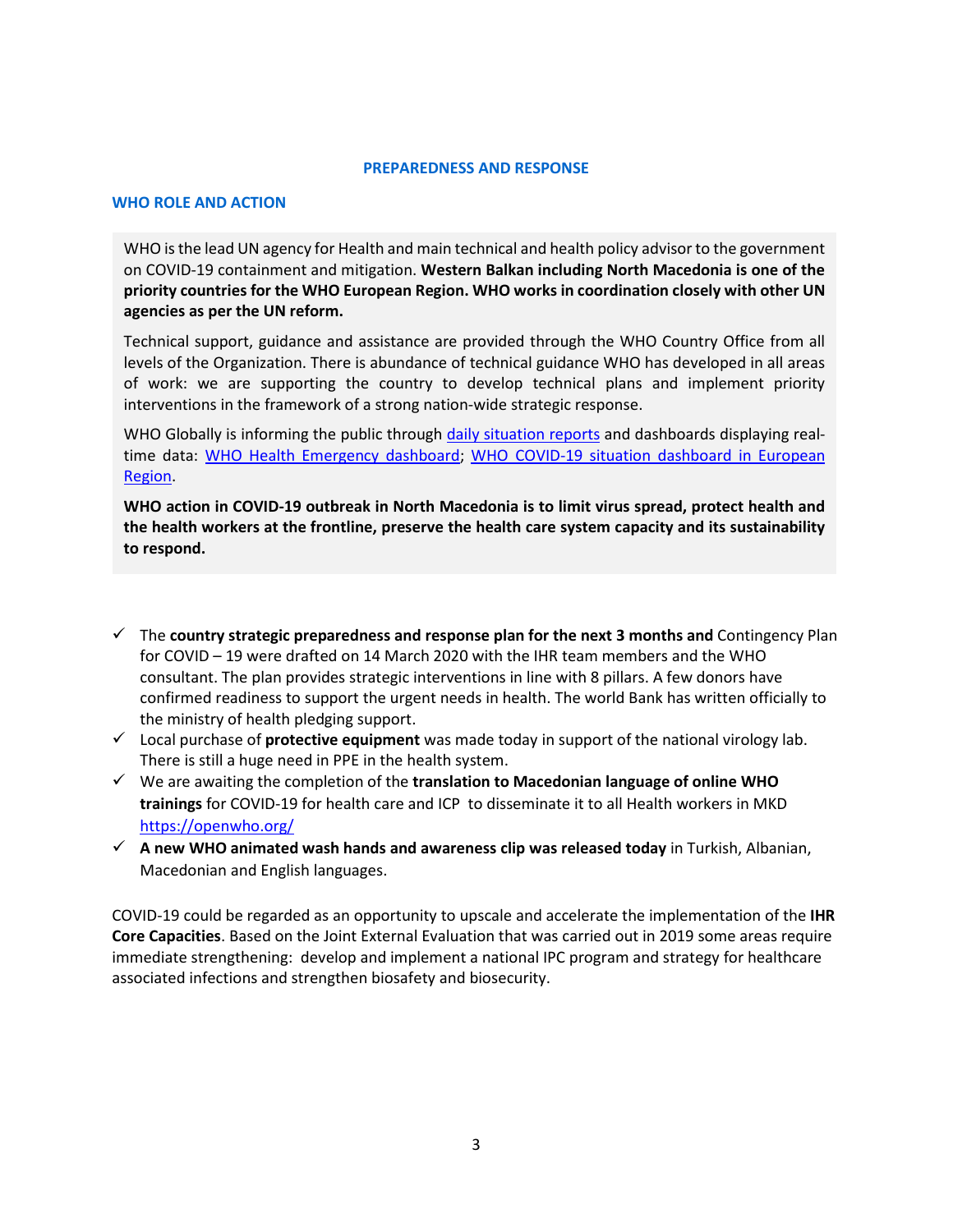#### **PREPAREDNESS AND RESPONSE**

#### **WHO ROLE AND ACTION**

WHO is the lead UN agency for Health and main technical and health policy advisor to the government on COVID-19 containment and mitigation. **Western Balkan including North Macedonia is one of the priority countries for the WHO European Region. WHO works in coordination closely with other UN agencies as per the UN reform.** 

Technical support, guidance and assistance are provided through the WHO Country Office from all levels of the Organization. There is abundance of technical guidance WHO has developed in all areas of work: we are supporting the country to develop technical plans and implement priority interventions in the framework of a strong nation-wide strategic response.

WHO Globally is informing the public through [daily situation reports](https://www.who.int/emergencies/diseases/novel-coronavirus-2019/situation-reports/) and dashboards displaying realtime data: [WHO Health Emergency dashboard;](https://extranet.who.int/publicemergency) [WHO COVID-19 situation dashboard in European](http://who.maps.arcgis.com/apps/opsdashboard/index.html#/ead3c6475654481ca51c248d52ab9c61)  [Region.](http://who.maps.arcgis.com/apps/opsdashboard/index.html#/ead3c6475654481ca51c248d52ab9c61)

**WHO action in COVID-19 outbreak in North Macedonia is to limit virus spread, protect health and the health workers at the frontline, preserve the health care system capacity and its sustainability to respond.** 

- The **country strategic preparedness and response plan for the next 3 months and** Contingency Plan for COVID – 19 were drafted on 14 March 2020 with the IHR team members and the WHO consultant. The plan provides strategic interventions in line with 8 pillars. A few donors have confirmed readiness to support the urgent needs in health. The world Bank has written officially to the ministry of health pledging support.
- Local purchase of **protective equipment** was made today in support of the national virology lab. There is still a huge need in PPE in the health system.
- We are awaiting the completion of the **translation to Macedonian language of online WHO trainings** for COVID-19 for health care and ICP to disseminate it to all Health workers in MKD <https://openwho.org/>
- **A new WHO animated wash hands and awareness clip was released today** in Turkish, Albanian, Macedonian and English languages.

COVID-19 could be regarded as an opportunity to upscale and accelerate the implementation of the **IHR Core Capacities**. Based on the Joint External Evaluation that was carried out in 2019 some areas require immediate strengthening: develop and implement a national IPC program and strategy for healthcare associated infections and strengthen biosafety and biosecurity.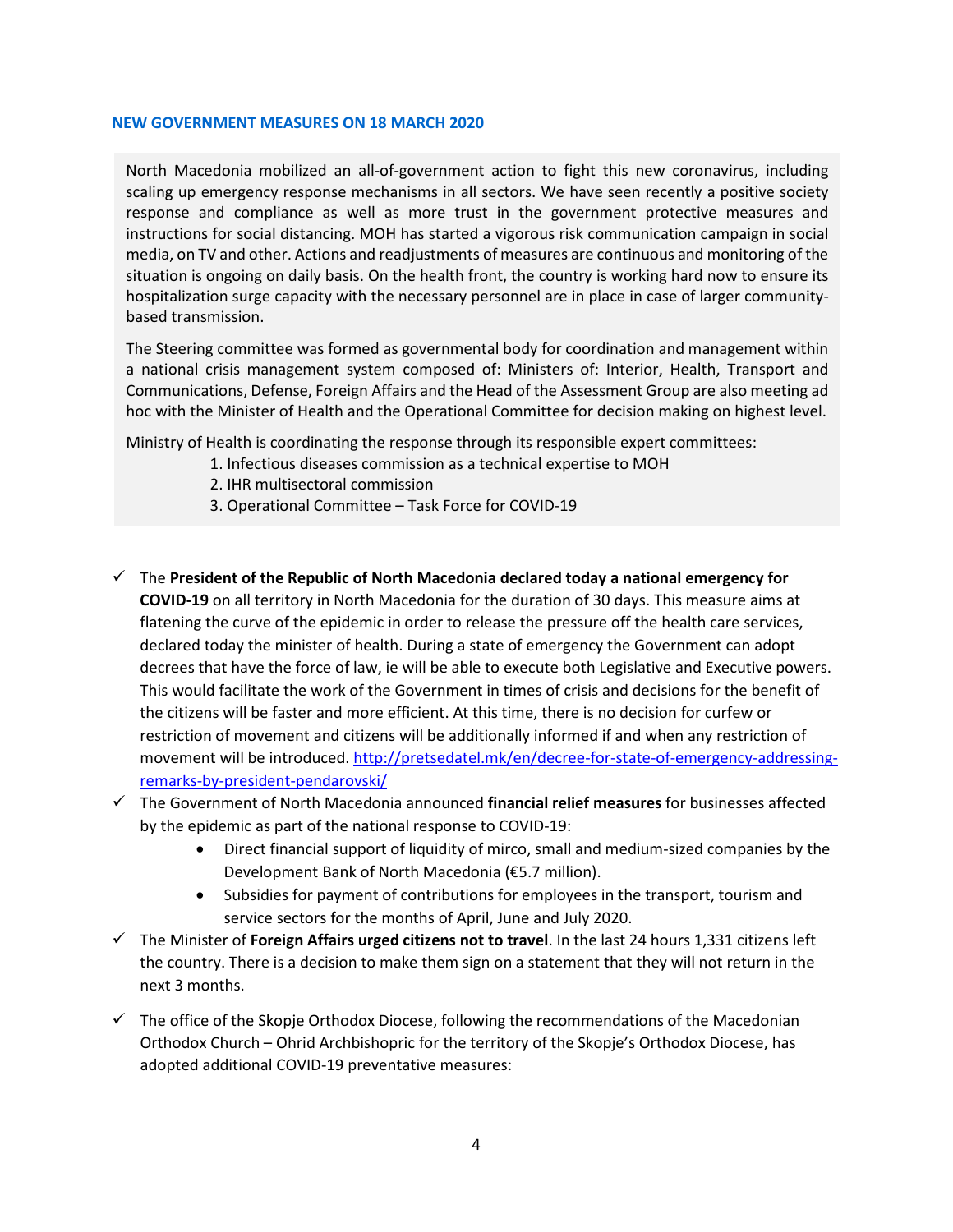#### **NEW GOVERNMENT MEASURES ON 18 MARCH 2020**

North Macedonia mobilized an all-of-government action to fight this new coronavirus, including scaling up emergency response mechanisms in all sectors. We have seen recently a positive society response and compliance as well as more trust in the government protective measures and instructions for social distancing. MOH has started a vigorous risk communication campaign in social media, on TV and other. Actions and readjustments of measures are continuous and monitoring of the situation is ongoing on daily basis. On the health front, the country is working hard now to ensure its hospitalization surge capacity with the necessary personnel are in place in case of larger communitybased transmission.

The Steering committee was formed as governmental body for coordination and management within a national crisis management system composed of: Ministers of: Interior, Health, Transport and Communications, Defense, Foreign Affairs and the Head of the Assessment Group are also meeting ad hoc with the Minister of Health and the Operational Committee for decision making on highest level.

Ministry of Health is coordinating the response through its responsible expert committees:

- 1. Infectious diseases commission as a technical expertise to MOH
- 2. IHR multisectoral commission
- 3. Operational Committee Task Force for COVID-19
- The **President of the Republic of North Macedonia declared today a national emergency for COVID-19** on all territory in North Macedonia for the duration of 30 days. This measure aims at flatening the curve of the epidemic in order to release the pressure off the health care services, declared today the minister of health. During a state of emergency the Government can adopt decrees that have the force of law, ie will be able to execute both Legislative and Executive powers. This would facilitate the work of the Government in times of crisis and decisions for the benefit of the citizens will be faster and more efficient. At this time, there is no decision for curfew or restriction of movement and citizens will be additionally informed if and when any restriction of movement will be introduced. [http://pretsedatel.mk/en/decree-for-state-of-emergency-addressing](http://pretsedatel.mk/en/decree-for-state-of-emergency-addressing-remarks-by-president-pendarovski/)[remarks-by-president-pendarovski/](http://pretsedatel.mk/en/decree-for-state-of-emergency-addressing-remarks-by-president-pendarovski/)
- The Government оf North Macedonia announced **financial relief measures** for businesses affected by the epidemic as part of the national response to COVID-19:
	- Direct financial support of liquidity of mirco, small and medium-sized companies by the Development Bank of North Macedonia (€5.7 million).
	- Subsidies for payment of contributions for employees in the transport, tourism and service sectors for the months of April, June and July 2020.
- The Minister of **Foreign Affairs urged citizens not to travel**. In the last 24 hours 1,331 citizens left the country. There is a decision to make them sign on a statement that they will not return in the next 3 months.
- $\checkmark$  The office of the Skopje Orthodox Diocese, following the recommendations of the Macedonian Orthodox Church – Ohrid Archbishopric for the territory of the Skopje's Orthodox Diocese, has adopted additional COVID-19 preventative measures: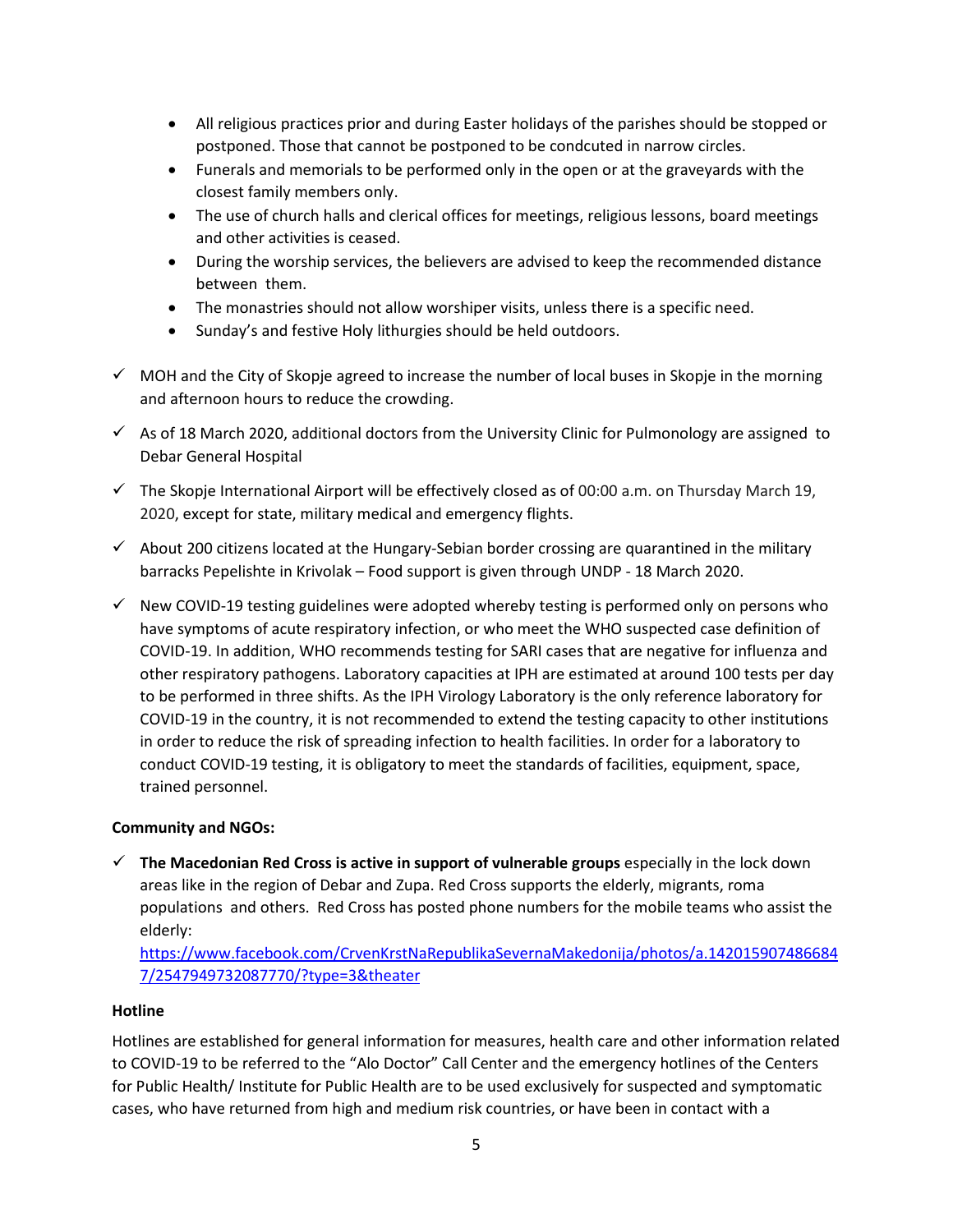- All religious practices prior and during Easter holidays of the parishes should be stopped or postponed. Those that cannot be postponed to be condcuted in narrow circles.
- Funerals and memorials to be performed only in the open or at the graveyards with the closest family members only.
- The use of church halls and clerical offices for meetings, religious lessons, board meetings and other activities is ceased.
- During the worship services, the believers are advised to keep the recommended distance between them.
- The monastries should not allow worshiper visits, unless there is a specific need.
- Sunday's and festive Holy lithurgies should be held outdoors.
- $\checkmark$  MOH and the City of Skopje agreed to increase the number of local buses in Skopje in the morning and afternoon hours to reduce the crowding.
- $\checkmark$  As of 18 March 2020, additional doctors from the University Clinic for Pulmonology are assigned to Debar General Hospital
- $\checkmark$  The Skopje International Airport will be effectively closed as of 00:00 a.m. on Thursday March 19, 2020, except for state, military medical and emergency flights.
- $\checkmark$  About 200 citizens located at the Hungary-Sebian border crossing are quarantined in the military barracks Pepelishte in Krivolak – Food support is given through UNDP - 18 March 2020.
- $\checkmark$  New COVID-19 testing guidelines were adopted whereby testing is performed only on persons who have symptoms of acute respiratory infection, or who meet the WHO suspected case definition of COVID-19. In addition, WHO recommends testing for SARI cases that are negative for influenza and other respiratory pathogens. Laboratory capacities at IPH are estimated at around 100 tests per day to be performed in three shifts. As the IPH Virology Laboratory is the only reference laboratory for COVID-19 in the country, it is not recommended to extend the testing capacity to other institutions in order to reduce the risk of spreading infection to health facilities. In order for a laboratory to conduct COVID-19 testing, it is obligatory to meet the standards of facilities, equipment, space, trained personnel.

# **Community and NGOs:**

 $\checkmark$  The Macedonian Red Cross is active in support of vulnerable groups especially in the lock down areas like in the region of Debar and Zupa. Red Cross supports the elderly, migrants, roma populations and others. Red Cross has posted phone numbers for the mobile teams who assist the elderly:

[https://www.facebook.com/CrvenKrstNaRepublikaSevernaMakedonija/photos/a.142015907486684](https://www.facebook.com/CrvenKrstNaRepublikaSevernaMakedonija/photos/a.1420159074866847/2547949732087770/?type=3&theater) [7/2547949732087770/?type=3&theater](https://www.facebook.com/CrvenKrstNaRepublikaSevernaMakedonija/photos/a.1420159074866847/2547949732087770/?type=3&theater)

# **Hotline**

Hotlines are established for general information for measures, health care and other information related to COVID-19 to be referred to the "Alo Doctor" Call Center and the emergency hotlines of the Centers for Public Health/ Institute for Public Health are to be used exclusively for suspected and symptomatic cases, who have returned from high and medium risk countries, or have been in contact with a